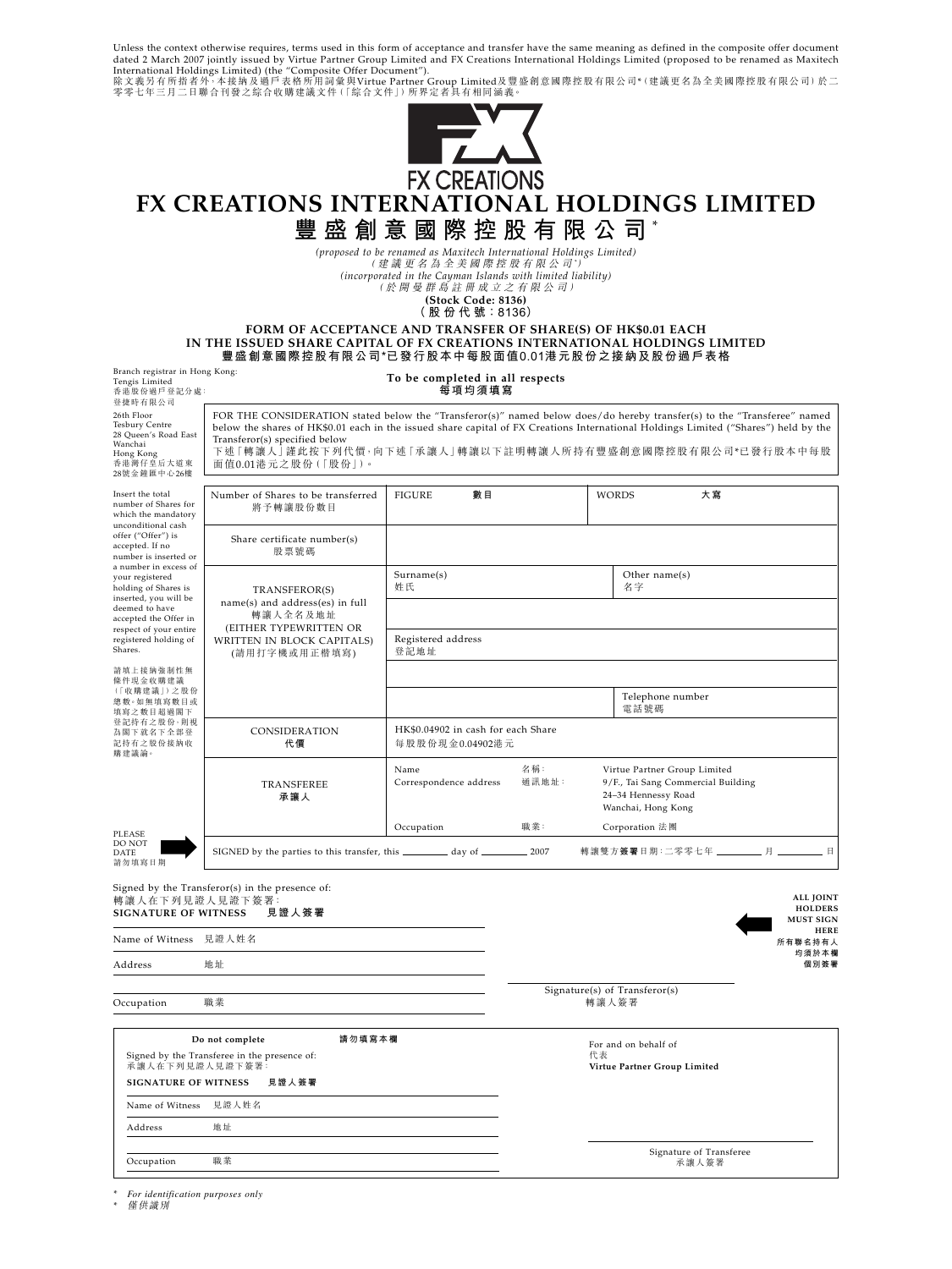Unless the context otherwise requires, terms used in this form of acceptance and transfer have the same meaning as defined in the composite offer document<br>International Holdings Limited ) (the "Composite Offer Document").



# **FX CREATIONS INTERNATIONAL HOLDINGS LIMITED 豐盛創意國際控股有限公司** \*

*(proposed to be renamed as Maxitech International Holdings Limited)*

(建議更名為全美國際控股有限公司 *\** ) *(incorporated in the Cayman Islands with limited liability)*

(於開曼群島註冊成立之有限公司)

**(Stock Code: 8136)**

**( 股 份 代 號:8136)**

**FORM OF ACCEPTANCE AND TRANSFER OF SHARE(S) OF HK\$0.01 EACH IN THE ISSUED SHARE CAPITAL OF FX CREATIONS INTERNATIONAL HOLDINGS LIMITED 豐盛創意國際控股有限公司\*已發行股本中每股面值0.01港元股份之接納及股份過戶表格**

| Branch registrar in Hong Kong:<br>Tengis Limited<br>香港股份過戶登記分處:<br>登捷時有限公司                                                                                                                         |                                                                                                                                                                                                                                                                                                                                                                                   | To be completed in all respects<br>每項均須填寫             |              |                                                                                                                 |                                                        |
|----------------------------------------------------------------------------------------------------------------------------------------------------------------------------------------------------|-----------------------------------------------------------------------------------------------------------------------------------------------------------------------------------------------------------------------------------------------------------------------------------------------------------------------------------------------------------------------------------|-------------------------------------------------------|--------------|-----------------------------------------------------------------------------------------------------------------|--------------------------------------------------------|
| 26th Floor<br>Tesbury Centre<br>28 Queen's Road East<br>Wanchai<br>Hong Kong<br>香港灣仔皇后大道東<br>28號金鐘匯中心26樓                                                                                           | FOR THE CONSIDERATION stated below the "Transferor(s)" named below does/do hereby transfer(s) to the "Transferee" named<br>below the shares of HK\$0.01 each in the issued share capital of FX Creations International Holdings Limited ("Shares") held by the<br>Transferor(s) specified below<br>下述「轉讓人」謹此按下列代價,向下述「承讓人」轉讓以下註明轉讓人所持有豐盛創意國際控股有限公司*已發行股本中每股<br>面值0.01港元之股份(「股份」)。 |                                                       |              |                                                                                                                 |                                                        |
| Insert the total<br>number of Shares for<br>which the mandatory                                                                                                                                    | Number of Shares to be transferred<br>將予轉讓股份數目                                                                                                                                                                                                                                                                                                                                    | 數目<br><b>FIGURE</b>                                   |              | 大寫<br><b>WORDS</b>                                                                                              |                                                        |
| unconditional cash<br>offer ("Offer") is<br>accepted. If no<br>number is inserted or                                                                                                               | Share certificate number(s)<br>股票號碼                                                                                                                                                                                                                                                                                                                                               |                                                       |              |                                                                                                                 |                                                        |
| a number in excess of<br>your registered<br>holding of Shares is<br>inserted, you will be<br>deemed to have<br>accepted the Offer in<br>respect of your entire<br>registered holding of<br>Shares. | TRANSFEROR(S)<br>name(s) and address(es) in full<br>轉讓人全名及地址<br>(EITHER TYPEWRITTEN OR<br><b>WRITTEN IN BLOCK CAPITALS)</b><br>(請用打字機或用正楷填寫)                                                                                                                                                                                                                                      | Surname(s)<br>姓氏                                      |              | Other name(s)<br>名字                                                                                             |                                                        |
|                                                                                                                                                                                                    |                                                                                                                                                                                                                                                                                                                                                                                   | Registered address<br>登記地址                            |              |                                                                                                                 |                                                        |
| 請填上接納強制性無<br>條件現金收購建議<br>(「收購建議」)之股份<br>總數。如無填寫數目或                                                                                                                                                 |                                                                                                                                                                                                                                                                                                                                                                                   |                                                       |              | Telephone number                                                                                                |                                                        |
| 填寫之數目超過閣下<br>登記持有之股份,則視<br>為閣下就名下全部登<br>記持有之股份接納收<br>購建議論。                                                                                                                                         | CONSIDERATION<br>代價                                                                                                                                                                                                                                                                                                                                                               | HK\$0.04902 in cash for each Share<br>每股股份現金0.04902港元 |              | 電話號碼                                                                                                            |                                                        |
|                                                                                                                                                                                                    | TRANSFEREE<br>承讓人                                                                                                                                                                                                                                                                                                                                                                 | Name<br>Correspondence address                        | 名稱:<br>通訊地址: | Virtue Partner Group Limited<br>9/F., Tai Sang Commercial Building<br>24-34 Hennessy Road<br>Wanchai, Hong Kong |                                                        |
| PLEASE                                                                                                                                                                                             |                                                                                                                                                                                                                                                                                                                                                                                   | Occupation                                            | 職業:          | Corporation 法團                                                                                                  |                                                        |
| DO NOT<br><b>DATE</b><br>請勿填寫日期                                                                                                                                                                    |                                                                                                                                                                                                                                                                                                                                                                                   |                                                       |              | 轉讓雙方簽署日期:二零零七年 _________ 月 ________ 日                                                                           |                                                        |
| 轉讓人在下列見證人見證下簽署:<br><b>SIGNATURE OF WITNESS</b>                                                                                                                                                     | Signed by the Transferor(s) in the presence of:<br>見證人簽署                                                                                                                                                                                                                                                                                                                          |                                                       |              |                                                                                                                 | <b>ALL JOINT</b><br><b>HOLDERS</b><br><b>MUST SIGN</b> |
| Name of Witness 見證人姓名                                                                                                                                                                              |                                                                                                                                                                                                                                                                                                                                                                                   |                                                       |              |                                                                                                                 | <b>HERE</b><br>所有聯名持有人<br>均須於本欄                        |
| Address                                                                                                                                                                                            | 地址                                                                                                                                                                                                                                                                                                                                                                                |                                                       |              |                                                                                                                 | 個別簽署                                                   |
| Occupation                                                                                                                                                                                         | 職業                                                                                                                                                                                                                                                                                                                                                                                |                                                       |              | Signature(s) of Transferor(s)<br>轉讓人簽署                                                                          |                                                        |

| Do not complete                                                 |                                      | 請勿填寫本欄 | For and on behalf of               |
|-----------------------------------------------------------------|--------------------------------------|--------|------------------------------------|
| Signed by the Transferee in the presence of:<br>承讓人在下列見證人見證下簽署: |                                      |        | 代表<br>Virtue Partner Group Limited |
|                                                                 | 見證人簽署<br><b>SIGNATURE OF WITNESS</b> |        |                                    |
|                                                                 | Name of Witness 見證人姓名                |        |                                    |
| Address                                                         | 地址                                   |        |                                    |
|                                                                 |                                      |        | Signature of Transferee            |
| Occupation                                                      | 職業                                   |        | 承讓人簽署                              |

*\* For identification purposes only*

*\** 僅供識別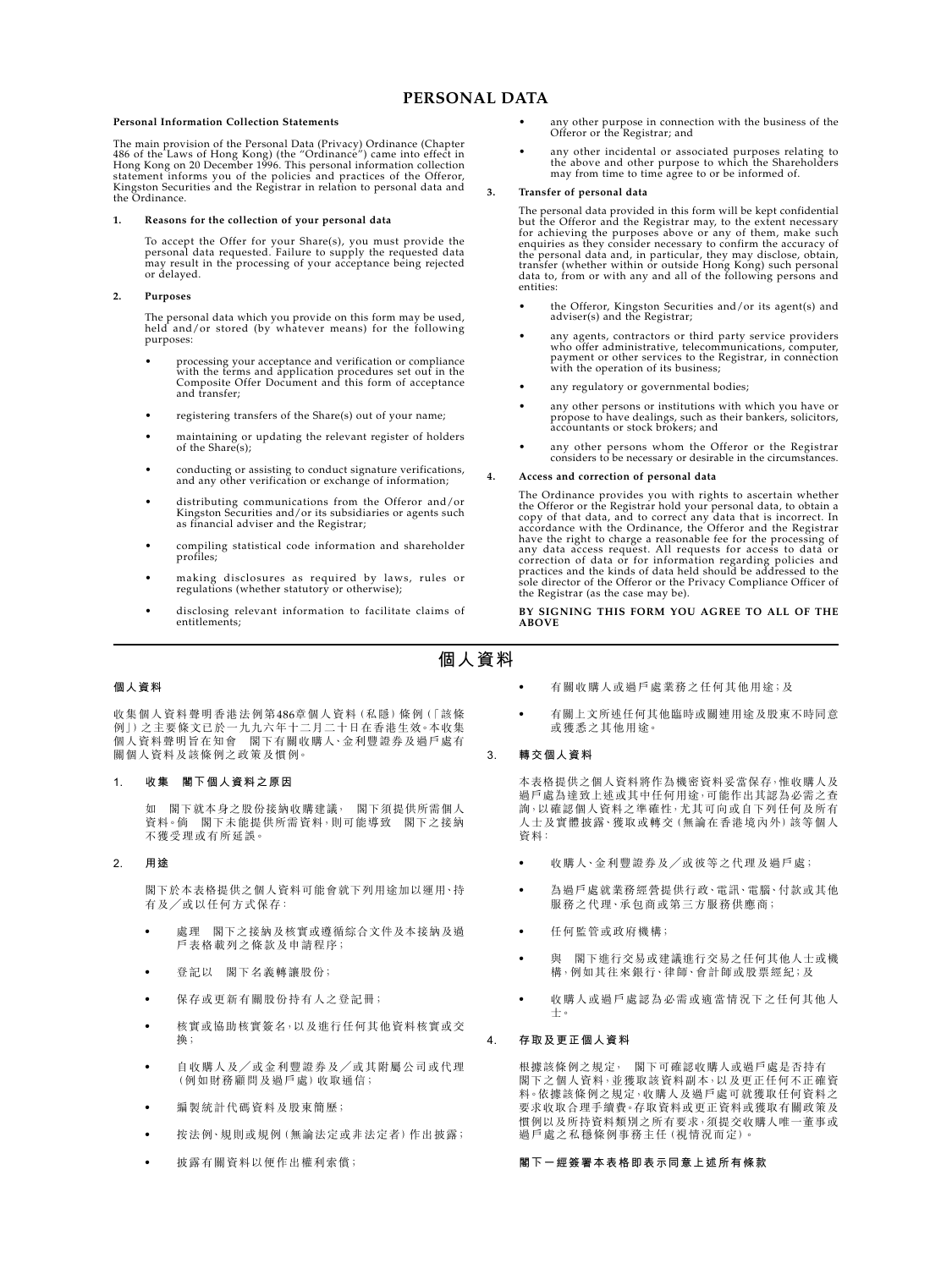## **PERSONAL DATA**

#### **Personal Information Collection Statements**

The main provision of the Personal Data (Privacy) Ordinance (Chapter 486 of the Laws of Hong Kong) (the "Ordinance") came into effect in<br>Hong Kong on 20 December 1996. This personal information collection<br>statement informs you of the policies and practices of the Offeror,<br>Kingston Securitie

#### **1. Reasons for the collection of your personal data**

To accept the Offer for your Share(s), you must provide the personal data requested. Failure to supply the requested data may result in the processing of your acceptance being rejected or delayed.

#### **2. Purposes**

The personal data which you provide on this form may be used, held and/or stored (by whatever means) for the following purposes:

- processing your acceptance and verification or compliance with the terms and application procedures set out in the Composite Offer Document and this form of acceptance and transfer;
- registering transfers of the Share(s) out of your name;
- maintaining or updating the relevant register of holders of the Share(s);
- conducting or assisting to conduct signature verifications, and any other verification or exchange of information;
- distributing communications from the Offeror and/or Kingston Securities and/or its subsidiaries or agents such as financial adviser and the Registrar;
- compiling statistical code information and shareholder profiles;
- making disclosures as required by laws, rules or regulations (whether statutory or otherwise);
- disclosing relevant information to facilitate claims of entitlements;
- any other purpose in connection with the business of the Offeror or the Registrar; and
- any other incidental or associated purposes relating to the above and other purpose to which the Shareholders may from time to time agree to or be informed of.

#### **3. Transfer of personal data**

The personal data provided in this form will be kept confidential but the Offeror and the Registrar may, to the extent necessary<br>for achieving the purposes above or any of them, make such<br>enquiries as they consider necessary to confirm the accuracy of<br>the personal data and, in particular entities:

- the Offeror, Kingston Securities and/or its agent(s) and adviser(s) and the Registrar;
- any agents, contractors or third party service providers who offer administrative, telecommunications, computer, payment or other services to the Registrar, in connection with the operation of its business;
- any regulatory or governmental bodies;
- any other persons or institutions with which you have or propose to have dealings, such as their bankers, solicitors, accountants or stock brokers; and
- any other persons whom the Offeror or the Registrar considers to be necessary or desirable in the circumstances.

#### **4. Access and correction of personal data**

The Ordinance provides you with rights to ascertain whether the Offeror or the Registrar hold your personal data, to obtain a copy of that data, and to correct any data that is incorrect. In accordance with the Ordinance, the Offeror and the Registrar have the right to charge a reasonable fee for the processing of any data access request. All requests for access to data or correction of data or for information regarding policies and practices and the kinds of data held should be addressed to the sole director of the Offeror or the Privacy Compliance Officer of the Registrar (as the case may be).

#### **BY SIGNING THIS FORM YOU AGREE TO ALL OF THE ABOVE**

# **個人資料**

### **個人資料**

收集個人資料聲明香港法例第486章個人資料(私隱)條例(「該條 例」)之主要條文已於一九九六年十二月二十日在香港生效。本收集 個人資料聲明旨在知會 閣下有關收購人、金利豐證券及過戶處有 關個人資料及該條例之政策及慣例。

#### **1. 收集 閣下個人資料之原因**

如 閣下就本身之股份接納收購建議, 閣下須提供所需個人 資料。倘 閣下未能提供所需資料,則可能導致 閣下之接納 不獲受理或有所延誤。

#### **2. 用途**

閣下於本表格提供之個人資料可能會就下列用途加以運用、持 有及/或以任何方式保存:

- 處理 閣下之接納及核實或導循綜合文件及本接納及過 戶表格載列之條款及申請程序;
- 登記以 閣下名義轉讓股份;
- ‧ 保存或更新有關股份持有人之登記冊;
- ‧ 核實或協助核實簽名,以及進行任何其他資料核實或交 換;
- ‧ 自收購人及/或金利豐證券及/或其附屬公司或代理 (例如財務顧問及過戶處)收取通信;
- 編製統計代碼資料及股東簡歷;
- ‧ 按法例、規則或規例(無論法定或非法定者)作出披露;
- ‧ 披露有關資料以便作出權利索償;
- ‧ 有關收購人或過戶處業務之任何其他用途;及
- 有關上文所述任何其他臨時或關連用途及股東不時同意 或獲悉之其他用途。

#### **3. 轉交個人資料**

本表格提供之個人資料將作為機密資料妥當保存,惟收購人及 過戶處為達致上述或其中任何用途,可能作出其認為必需之查 詢,以確認個人資料之準確性,尤其可向或自下列任何及所有 人士及實體披露、獲取或轉交(無論在香港境內外)該等個人 資料:

- 收購人、金利豐證券及/或彼等之代理及過戶處;
- ‧ 為過戶處就業務經營提供行政、電訊、電腦、付款或其他 服務之代理、承包商或第三方服務供應商;
- ‧ 任何監管或政府機構;
- ‧ 與 閣下進行交易或建議進行交易之任何其他人士或機 構,例如其往來銀行、律師、會計師或股票經紀;及
- 收購人或過戶處認為必需或適當情況下之任何其他人 士。

#### **4. 存取及更正個人資料**

根據該條例之規定, 閣下可確認收購人或過戶處是否持有 閣下之個人資料,並獲取該資料副本,以及更正任何不正確資 料。依據該條例之規定,收購人及過戶處可就獲取任何資料之 要求收取合理手續費。存取資料或更正資料或獲取有關政策及 慣例以及所持資料類別之所有要求,須提交收購人唯一董事或 過戶處之私穩條例事務主任(視情況而定)。

#### **閣下一經簽署本表格即表示同意上述所有條款**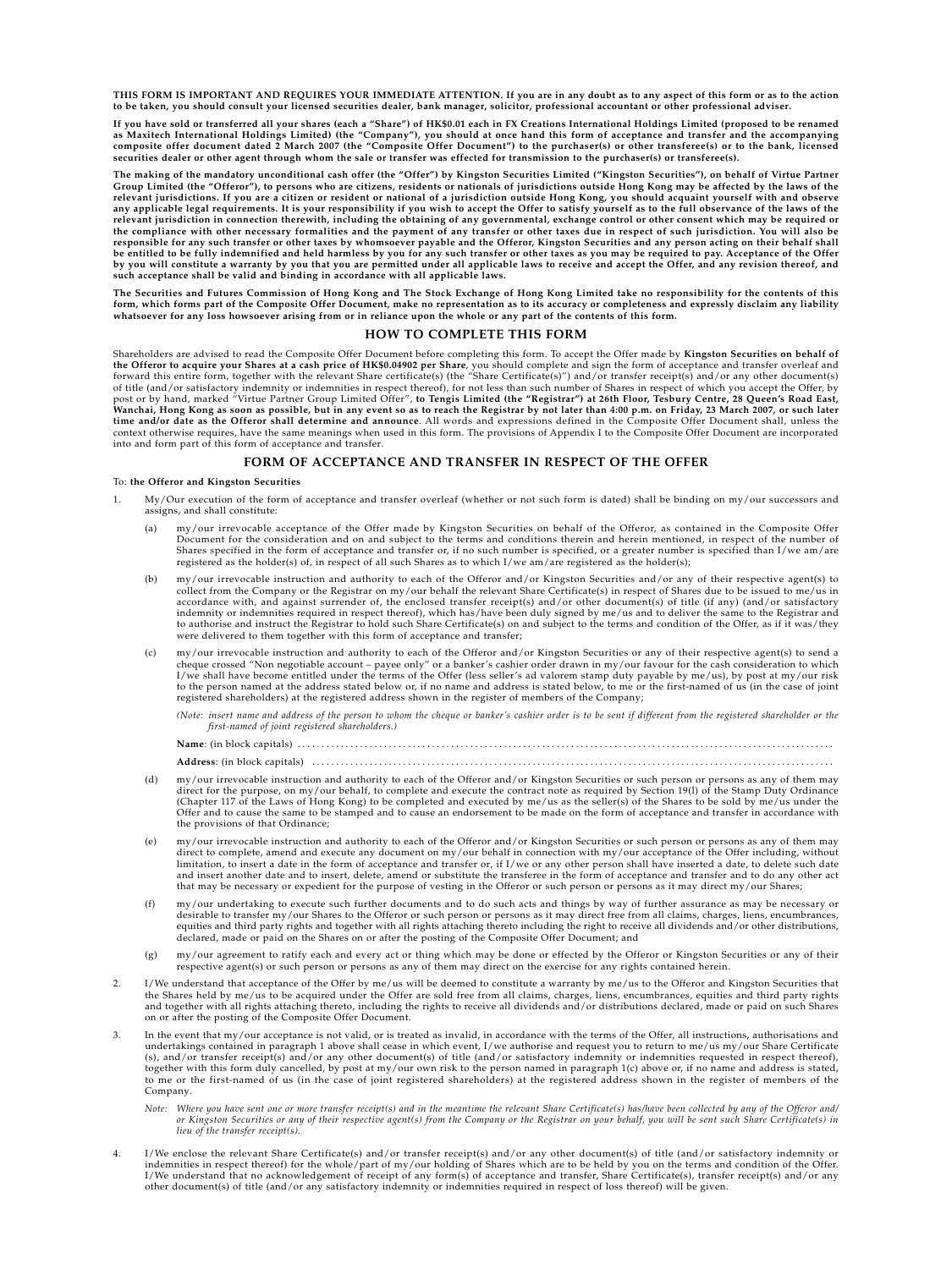**THIS FORM IS IMPORTANT AND REQUIRES YOUR IMMEDIATE ATTENTION. If you are in any doubt as to any aspect of this form or as to the action to be taken, you should consult your licensed securities dealer, bank manager, solicitor, professional accountant or other professional adviser.**

**If you have sold or transferred all your shares (each a "Share") of HK\$0.01 each in FX Creations International Holdings Limited (proposed to be renamed** as Maxitech International Holdings Limited) (the "Company"), you should at once hand this form of acceptance and transfer and the accompanying<br>composite offer document dated 2 March 2007 (the "Composite Offer Document") to **securities dealer or other agent through whom the sale or transfer was effected for transmission to the purchaser(s) or transferee(s).**

The making of the mandatory unconditional cash offer (the "Offer") by Kingston Securities Limited ("Kingston Securities"), on behalf of Virtue Partner<br>Group Limited (the "Offeror"), to persons who are citizens, residents o relevant jurisdictions. If you are a citizen or resident or national of a jurisdiction outside Hong Kong, you should acquaint yourself with and observe<br>any applicable legal requirements. It is your responsibility if you wi the compliance with other necessary formalities and the payment of any transfer or other taxes due in respect of such jurisdiction. You will also be<br>responsible for any such transfer or other taxes by whomsoever payable an by you will constitute a warranty by you that you are permitted under all applicable laws to receive and accept the Offer, and any revision thereof, and<br>such acceptance shall be valid and binding in accordance with all app

The Securities and Futures Commission of Hong Kong and The Stock Exchange of Hong Kong Limited take no responsibility for the contents of this<br>form, which forms part of the Composite Offer Document, make no representation **whatsoever for any loss howsoever arising from or in reliance upon the whole or any part of the contents of this form.**

#### **HOW TO COMPLETE THIS FORM**

Shareholders are advised to read the Composite Offer Document before completing this form. To accept the Offer made by **Kingston Securities on behalf of** t**he Offeror to acquire your Shares at a cash price of HK\$0.04902 per Share**, you should complete and sign the form of acceptance and transfer overleaf and<br>forward this entire form, together with the relevant Share certifi of title (and/or satisfactory indemnity or indemnities in respect thereof), for not less than such number of Shares in respect of which you accept the Offer, by<br>post or by hand, marked "Virtue Partner Group Limited Offer", context otherwise requires, have the same meanings when used in this form. The provisions of Appendix I to the Composite Offer Document are incorporated into and form part of this form of acceptance and transfer.

#### **FORM OF ACCEPTANCE AND TRANSFER IN RESPECT OF THE OFFER**

#### To: **the Offeror and Kingston Securities**

- 1. My/Our execution of the form of acceptance and transfer overleaf (whether or not such form is dated) shall be binding on my/our successors and assigns, and shall constitute:
	- (a) my/our irrevocable acceptance of the Offer made by Kingston Securities on behalf of the Offeror, as contained in the Composite Offer Document for the consideration and on and subject to the terms and conditions therein and herein mentioned, in respect of the number of<br>Shares specified in the form of acceptance and transfer or, if no such number is speci registered as the holder(s) of, in respect of all such Shares as to which I/we am/are registered as the holder(s);
	- (b) my/our irrevocable instruction and authority to each of the Offeror and/or Kingston Securities and/or any of their respective agent(s) to collect from the Company or the Registrar on my/our behalf the relevant Share Certificate(s) in respect of Shares due to be issued to me/us in accordance with, and against surrender of, the enclosed transfer receipt(s) and/or other document(s) of title (if any) (and/or satisfactory<br>indemnity or indemnities required in respect thereof), which has/have been duly si to authorise and instruct the Registrar to hold such Share Certificate(s) on and subject to the terms and condition of the Offer, as if it was/they were delivered to them together with this form of acceptance and transfer;
	- (c) my/our irrevocable instruction and authority to each of the Offeror and/or Kingston Securities or any of their respective agent(s) to send a<br>cheaple count payee only" or a banker's cashier order dering the subseminat to the person named at the address stated below or, if no name and address is stated below, to me or the first-named of us (in the case of joint<br>registered shareholders) at the registered address shown in the register of m

*(Note: insert name and address of the person to whom the cheque or banker's cashier order is to be sent if different from the registered shareholder or the first-named of joint registered shareholders.)*

**Name**: (in block capitals) . . . . . . . . . . . . . . . . . . . . . . . . . . . . . . . . . . . . . . . . . . . . . . . . . . . . . . . . . . . . . . . . . . . . . . . . . . . . . . . . . . . . . . . . . . . . . . . . . . . . . . . . . . . . . . . .  $\rm{Address:}$  (in block capitals)

- (d) my/our irrevocable instruction and authority to each of the Offeror and/or Kingston Securities or such person or persons as any of them may<br>direct for the purpose, on my/our behalf, to complete and execute the contract (Chapter 117 of the Laws of Hong Kong) to be completed and executed by me/us as the seller(s) of the Shares to be sold by me/us under the<br>Offer and to cause the same to be stamped and to cause an endorsement to be made on the provisions of that Ordinance;
- (e) my/our irrevocable instruction and authority to each of the Offeror and/or Kingston Securities or such person or persons as any of them may direct to complete, amend and execute any document on my/our behalf in connection with my/our acceptance of the Offer including, without limitation, to insert a date in the form of acceptance and transfer or, if I/we or any other person shall have inserted a date, to delete such date<br>and insert another date and to insert, delete, amend or substitute the tra that may be necessary or expedient for the purpose of vesting in the Offeror or such person or persons as it may direct my/our Shares;
- (f) my/our undertaking to execute such further documents and to do such acts and things by way of further assurance as may be necessary or<br>desirable to transfer my/our Shares to the Offeror or such person or persons as it equities and third party rights and together with all rights attaching thereto including the right to receive all dividends and/or other distributions, declared, made or paid on the Shares on or after the posting of the Composite Offer Document; and
- (g) my/our agreement to ratify each and every act or thing which may be done or effected by the Offeror or Kingston Securities or any of their<br>respective agent(s) or such person or persons as any of them may direct on the
- 2. I/We understand that acceptance of the Offer by me/us will be deemed to constitute a warranty by me/us to the Offeror and Kingston Securities that<br>the Shares held by me/us to be acquired under the Offer are sold free fr and together with all rights attaching thereto, including the rights to receive all dividends and/or distributions declared, made or paid on such Shares on or after the posting of the Composite Offer Document.
- 3. In the event that my/our acceptance is not valid, or is treated as invalid, in accordance with the terms of the Offer, all instructions, authorisations and undertakings contained in paragraph 1 above shall cease in which event, I/we authorise and request you to return to me/us my/our Share Certificate<br>(s), and/or transfer receipt(s) and/or any other document(s) of title (and/ (s), and/or transfer receipt(s) and/or any other document(s) of title (and/or satisfactory indemnity or indemnities requested in respect thereof), together with this form duly cancelled, by post at my/our own risk to the person named in paragraph 1(c) above or, if no name and address is stated,<br>to me or the first-named of us (in the case of joint registered sharehold Company.
	- *Note: Where you have sent one or more transfer receipt(s) and in the meantime the relevant Share Certificate(s) has/have been collected by any of the Offeror and/ or Kingston Securities or any of their respective agent(s) from the Company or the Registrar on your behalf, you will be sent such Share Certificate(s) in lieu of the transfer receipt(s).*
- 4. I/We enclose the relevant Share Certificate(s) and/or transfer receipt(s) and/or any other document(s) of title (and/or satisfactory indemnity or<br>indemnities in respect thereof) for the whole/part of my/our holding of S I/We understand that no acknowledgement of receipt of any form(s) of acceptance and transfer, Share Certificate(s), transfer receipt(s) and/or any other document(s) of title (and/or any satisfactory indemnity or indemnities required in respect of loss thereof) will be given.